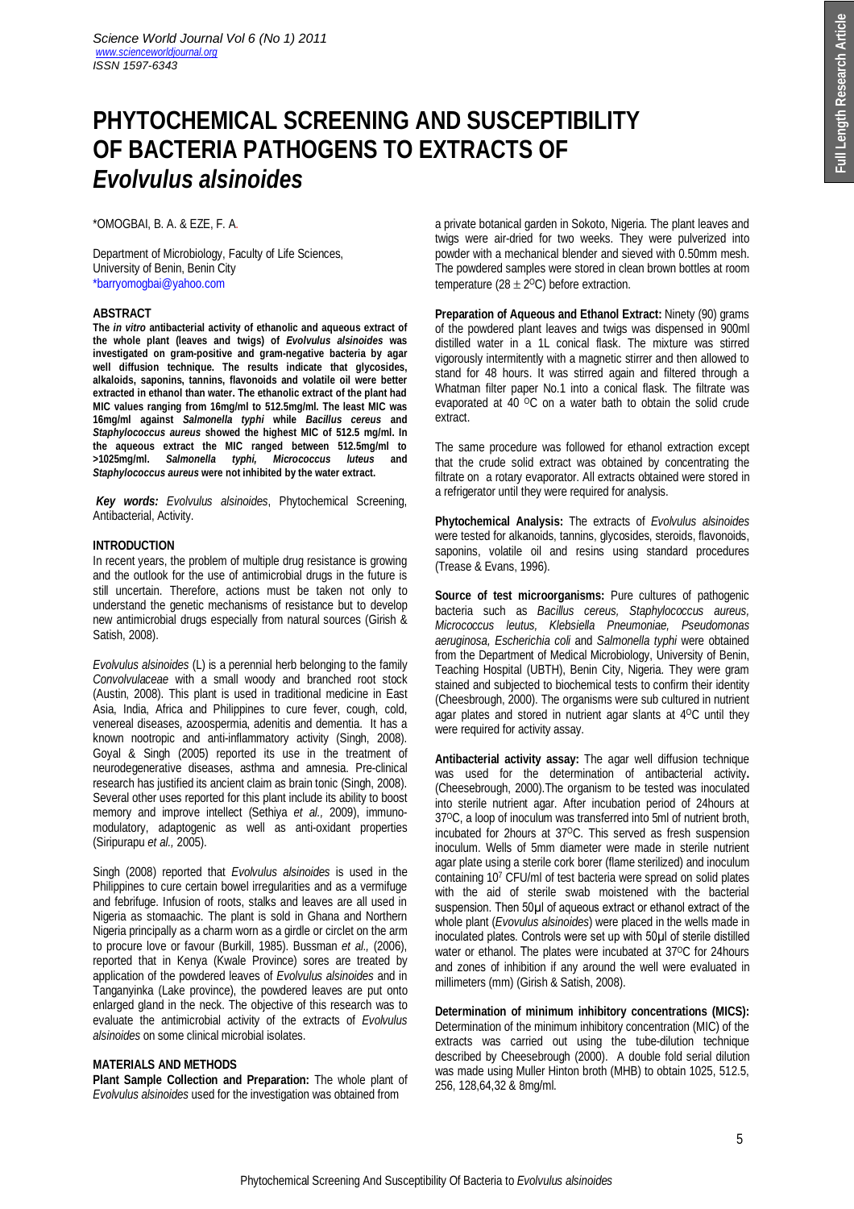# **PHYTOCHEMICAL SCREENING AND SUSCEPTIBILITY OF BACTERIA PATHOGENS TO EXTRACTS OF**  *Evolvulus alsinoides*

\*OMOGBAI, B. A. & EZE, F. A.

Department of Microbiology, Faculty of Life Sciences, University of Benin, Benin City \*barryomogbai@yahoo.com

### **ABSTRACT**

**The** *in vitro* **antibacterial activity of ethanolic and aqueous extract of the whole plant (leaves and twigs) of** *Evolvulus alsinoides* **was investigated on gram-positive and gram-negative bacteria by agar well diffusion technique. The results indicate that glycosides, alkaloids, saponins, tannins, flavonoids and volatile oil were better extracted in ethanol than water. The ethanolic extract of the plant had MIC values ranging from 16mg/ml to 512.5mg/ml. The least MIC was 16mg/ml against** *Salmonella typhi* **while** *Bacillus cereus* **and** *Staphylococcus aureus* **showed the highest MIC of 512.5 mg/ml. In the aqueous extract the MIC ranged between 512.5mg/ml to >1025mg/ml.** *Salmonella typhi, Micrococcus luteus* **and** *Staphylococcus aureus* **were not inhibited by the water extract.**

*Key words: Evolvulus alsinoides*, Phytochemical Screening, Antibacterial, Activity.

#### **INTRODUCTION**

In recent years, the problem of multiple drug resistance is growing and the outlook for the use of antimicrobial drugs in the future is still uncertain. Therefore, actions must be taken not only to understand the genetic mechanisms of resistance but to develop new antimicrobial drugs especially from natural sources (Girish & Satish, 2008).

*Evolvulus alsinoides* (L) is a perennial herb belonging to the family *Convolvulaceae* with a small woody and branched root stock (Austin, 2008). This plant is used in traditional medicine in East Asia, India, Africa and Philippines to cure fever, cough, cold, venereal diseases, azoospermia, adenitis and dementia. It has a known nootropic and anti-inflammatory activity (Singh, 2008). Goyal & Singh (2005) reported its use in the treatment of neurodegenerative diseases, asthma and amnesia. Pre-clinical research has justified its ancient claim as brain tonic (Singh, 2008). Several other uses reported for this plant include its ability to boost memory and improve intellect (Sethiya *et al.,* 2009), immunomodulatory, adaptogenic as well as anti-oxidant properties (Siripurapu *et al.,* 2005).

Singh (2008) reported that *Evolvulus alsinoides* is used in the Philippines to cure certain bowel irregularities and as a vermifuge and febrifuge. Infusion of roots, stalks and leaves are all used in Nigeria as stomaachic. The plant is sold in Ghana and Northern Nigeria principally as a charm worn as a girdle or circlet on the arm to procure love or favour (Burkill, 1985). Bussman *et al.,* (2006), reported that in Kenya (Kwale Province) sores are treated by application of the powdered leaves of *Evolvulus alsinoides* and in Tanganyinka (Lake province), the powdered leaves are put onto enlarged gland in the neck. The objective of this research was to evaluate the antimicrobial activity of the extracts of *Evolvulus alsinoides* on some clinical microbial isolates.

#### **MATERIALS AND METHODS**

**Plant Sample Collection and Preparation:** The whole plant of *Evolvulus alsinoides* used for the investigation was obtained from

a private botanical garden in Sokoto, Nigeria. The plant leaves and twigs were air-dried for two weeks. They were pulverized into powder with a mechanical blender and sieved with 0.50mm mesh. The powdered samples were stored in clean brown bottles at room temperature (28  $\pm$  2<sup>o</sup>C) before extraction.

**Preparation of Aqueous and Ethanol Extract:** Ninety (90) grams of the powdered plant leaves and twigs was dispensed in 900ml distilled water in a 1L conical flask. The mixture was stirred vigorously intermitently with a magnetic stirrer and then allowed to stand for 48 hours. It was stirred again and filtered through a Whatman filter paper No.1 into a conical flask. The filtrate was evaporated at 40 °C on a water bath to obtain the solid crude extract.

The same procedure was followed for ethanol extraction except that the crude solid extract was obtained by concentrating the filtrate on a rotary evaporator. All extracts obtained were stored in a refrigerator until they were required for analysis.

**Phytochemical Analysis:** The extracts of *Evolvulus alsinoides* were tested for alkanoids, tannins, glycosides, steroids, flavonoids, saponins, volatile oil and resins using standard procedures (Trease & Evans, 1996).

**Source of test microorganisms:** Pure cultures of pathogenic bacteria such as *Bacillus cereus, Staphylococcus aureus, Micrococcus leutus, Klebsiella Pneumoniae, Pseudomonas aeruginosa, Escherichia coli* and *Salmonella typhi* were obtained from the Department of Medical Microbiology, University of Benin, Teaching Hospital (UBTH), Benin City, Nigeria. They were gram stained and subjected to biochemical tests to confirm their identity (Cheesbrough, 2000). The organisms were sub cultured in nutrient agar plates and stored in nutrient agar slants at 4OC until they were required for activity assay.

**Antibacterial activity assay:** The agar well diffusion technique was used for the determination of antibacterial activity**.** (Cheesebrough, 2000).The organism to be tested was inoculated into sterile nutrient agar. After incubation period of 24hours at 37OC, a loop of inoculum was transferred into 5ml of nutrient broth, incubated for 2hours at 37°C. This served as fresh suspension inoculum. Wells of 5mm diameter were made in sterile nutrient agar plate using a sterile cork borer (flame sterilized) and inoculum containing 10<sup>7</sup> CFU/ml of test bacteria were spread on solid plates with the aid of sterile swab moistened with the bacterial suspension. Then 50 \, of aqueous extract or ethanol extract of the whole plant (*Evovulus alsinoides*) were placed in the wells made in inoculated plates. Controls were set up with 50µl of sterile distilled water or ethanol. The plates were incubated at 37°C for 24 hours and zones of inhibition if any around the well were evaluated in millimeters (mm) (Girish & Satish, 2008).

**Determination of minimum inhibitory concentrations (MICS):**  Determination of the minimum inhibitory concentration (MIC) of the extracts was carried out using the tube-dilution technique described by Cheesebrough (2000). A double fold serial dilution was made using Muller Hinton broth (MHB) to obtain 1025, 512.5, 256, 128,64,32 & 8mg/ml.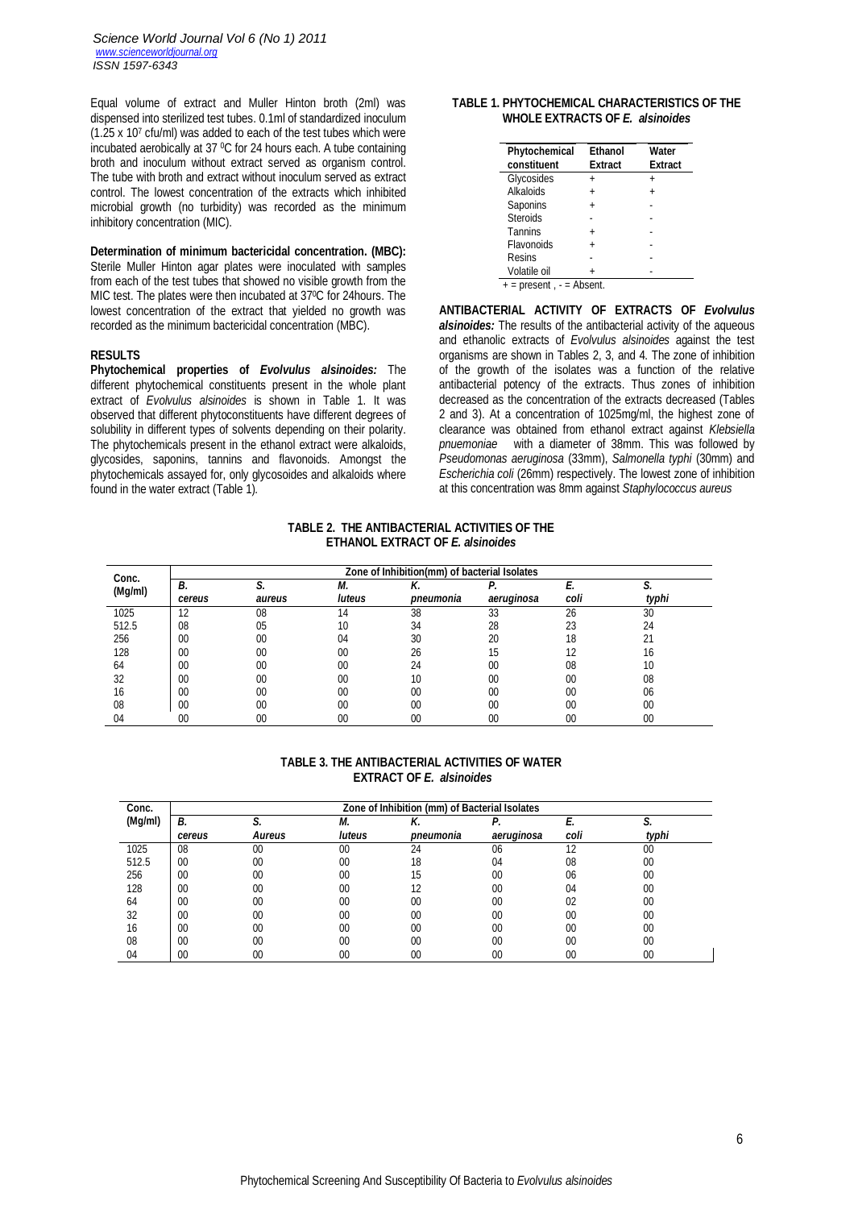Equal volume of extract and Muller Hinton broth (2ml) was dispensed into sterilized test tubes. 0.1ml of standardized inoculum (1.25 x 10<sup>7</sup> cfu/ml) was added to each of the test tubes which were incubated aerobically at 37 0C for 24 hours each. A tube containing broth and inoculum without extract served as organism control. The tube with broth and extract without inoculum served as extract control. The lowest concentration of the extracts which inhibited microbial growth (no turbidity) was recorded as the minimum inhibitory concentration (MIC).

# **Determination of minimum bactericidal concentration. (MBC):**

Sterile Muller Hinton agar plates were inoculated with samples from each of the test tubes that showed no visible growth from the MIC test. The plates were then incubated at 370C for 24hours. The lowest concentration of the extract that yielded no growth was recorded as the minimum bactericidal concentration (MBC).

#### **RESULTS**

**Phytochemical properties of** *Evolvulus alsinoides:* The different phytochemical constituents present in the whole plant extract of *Evolvulus alsinoides* is shown in Table 1. It was observed that different phytoconstituents have different degrees of solubility in different types of solvents depending on their polarity. The phytochemicals present in the ethanol extract were alkaloids, glycosides, saponins, tannins and flavonoids. Amongst the phytochemicals assayed for, only glycosoides and alkaloids where found in the water extract (Table 1).

# **TABLE 1. PHYTOCHEMICAL CHARACTERISTICS OF THE WHOLE EXTRACTS OF** *E. alsinoides*

| Phytochemical<br>constituent | <b>Ethanol</b><br><b>Extract</b> | Water<br><b>Extract</b> |
|------------------------------|----------------------------------|-------------------------|
| Glycosides                   | $\ddot{}$                        | $\ddot{}$               |
| Alkaloids                    | $\ddot{}$                        | $\ddot{}$               |
| Saponins                     |                                  |                         |
| <b>Steroids</b>              |                                  |                         |
| Tannins                      | $\ddot{}$                        |                         |
| Flavonoids                   | $\ddot{}$                        |                         |
| Resins                       |                                  |                         |
| Volatile oil                 |                                  |                         |
| $+$ = present, $-$ = Absent. |                                  |                         |

**ANTIBACTERIAL ACTIVITY OF EXTRACTS OF** *Evolvulus alsinoides:* The results of the antibacterial activity of the aqueous and ethanolic extracts of *Evolvulus alsinoides* against the test organisms are shown in Tables 2, 3, and 4. The zone of inhibition of the growth of the isolates was a function of the relative antibacterial potency of the extracts. Thus zones of inhibition decreased as the concentration of the extracts decreased (Tables 2 and 3). At a concentration of 1025mg/ml, the highest zone of clearance was obtained from ethanol extract against *Klebsiella pnuemoniae* with a diameter of 38mm. This was followed by *Pseudomonas aeruginosa* (33mm), *Salmonella typhi* (30mm) and *Escherichia coli* (26mm) respectively. The lowest zone of inhibition at this concentration was 8mm against *Staphylococcus aureus*

#### **TABLE 2. THE ANTIBACTERIAL ACTIVITIES OF THE ETHANOL EXTRACT OF** *E. alsinoides*

| Conc.<br>(Mg/ml) | Zone of Inhibition(mm) of bacterial Isolates |        |              |                 |            |      |       |  |
|------------------|----------------------------------------------|--------|--------------|-----------------|------------|------|-------|--|
|                  | В.<br>cereus                                 | aureus | М.<br>luteus | Λ.<br>pneumonia | aeruginosa | coli | tvphi |  |
| 1025             | 12                                           | 08     | 14           | 38              | 33         | 26   | 30    |  |
| 512.5            | 08                                           | 05     | 10           | 34              | 28         | 23   | 24    |  |
| 256              | 00                                           | 00     | 04           | 30              | 20         | 18   | 21    |  |
| 128              | 00                                           | 00     | 00           | 26              | 15         | 12   | 16    |  |
| 64               | 00                                           | 00     | 00           | 24              | 00         | 08   | 10    |  |
| 32               | 00                                           | 00     | 00           | 10              | 00         | 00   | 08    |  |
| 16               | 00                                           | 00     | 00           | 00              | 00         | 00   | 06    |  |
| 08               | 00                                           | 00     | 00           | 00              | 00         | 00   | 00    |  |
| 04               | 00                                           | 00     | 00           | 00              | 00         | 00   | 00    |  |

## **TABLE 3. THE ANTIBACTERIAL ACTIVITIES OF WATER EXTRACT OF** *E. alsinoides*

| Conc.   | Zone of Inhibition (mm) of Bacterial Isolates |        |               |           |            |      |       |
|---------|-----------------------------------------------|--------|---------------|-----------|------------|------|-------|
| (Mg/ml) | В.                                            |        | М.            | Λ.        | Р.         |      | C     |
|         | cereus                                        | Aureus | <b>luteus</b> | pneumonia | aeruginosa | coli | typhi |
| 1025    | 08                                            | 00     | 00            | 24        | 06         | 12   | 00    |
| 512.5   | 00                                            | 00     | 00            | 18        | 04         | 08   | 00    |
| 256     | 00                                            | 00     | 00            | 15        | $00\,$     | 06   | 00    |
| 128     | $00\,$                                        | 00     | 00            | 12        | $00\,$     | 04   | 00    |
| 64      | 00                                            | 00     | 00            | $00 \,$   | $00\,$     | 02   | 00    |
| 32      | $00 \,$                                       | 00     | 00            | $00 \,$   | $00\,$     | 00   | 00    |
| 16      | $00 \,$                                       | 00     | 00            | $00 \,$   | $00\,$     | 00   | 00    |
| 08      | $00\,$                                        | 00     | 00            | $00 \,$   | $00\,$     | 00   | 00    |
| 04      | 00                                            | 00     | 00            | 00        | 00         | 00   | 00    |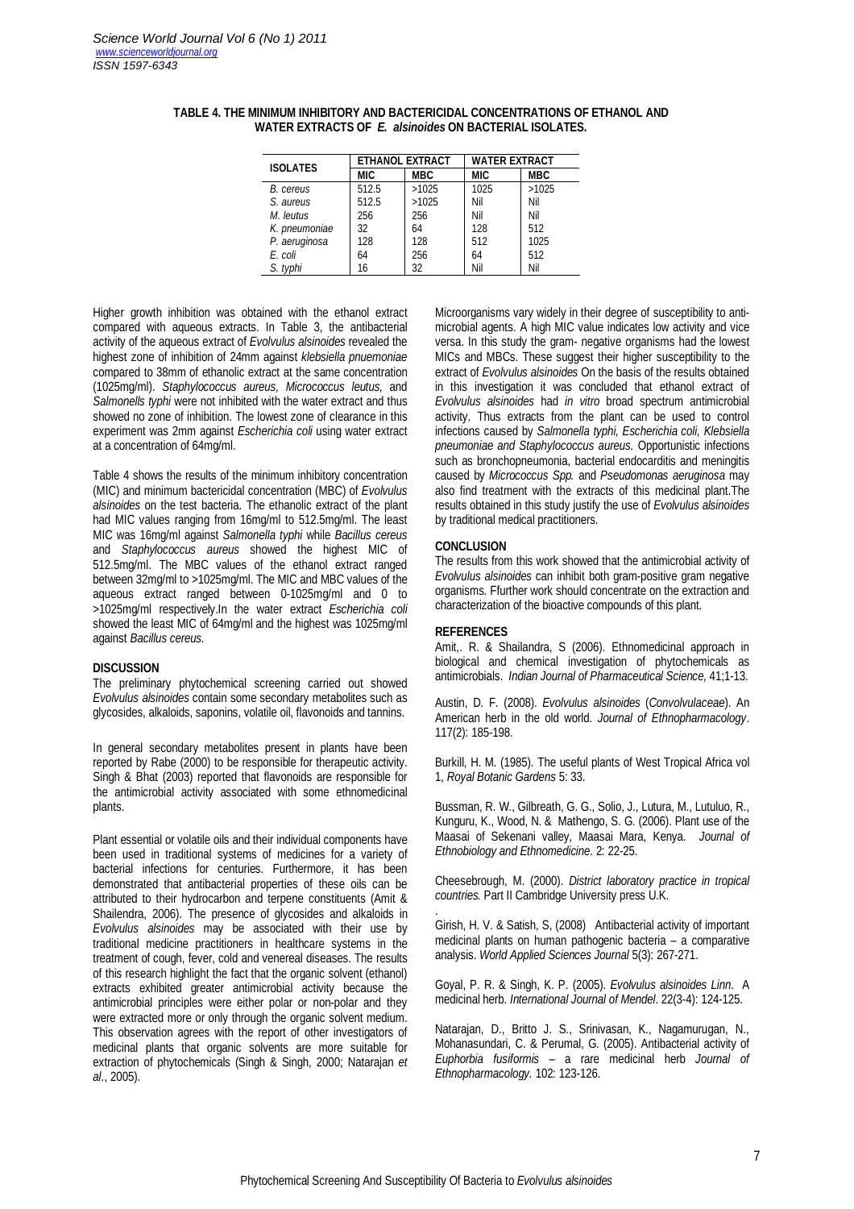| <b>ISOLATES</b> | <b>ETHANOL EXTRACT</b> |            | <b>WATER EXTRACT</b> |            |  |
|-----------------|------------------------|------------|----------------------|------------|--|
|                 | MIC                    | <b>MBC</b> | <b>MIC</b>           | <b>MBC</b> |  |
| B. cereus       | 512.5                  | >1025      | 1025                 | >1025      |  |
| S. aureus       | 512.5                  | >1025      | Nil                  | Nil        |  |
| M. leutus       | 256                    | 256        | Nil                  | Nil        |  |
| K. pneumoniae   | 32                     | 64         | 128                  | 512        |  |
| P. aeruginosa   | 128                    | 128        | 512                  | 1025       |  |
| E. coli         | 64                     | 256        | 64                   | 512        |  |
| S. typhi        | 16                     | 32         | Nil                  | Nil        |  |

#### **TABLE 4. THE MINIMUM INHIBITORY AND BACTERICIDAL CONCENTRATIONS OF ETHANOL AND WATER EXTRACTS OF** *E. alsinoides* **ON BACTERIAL ISOLATES.**

Higher growth inhibition was obtained with the ethanol extract compared with aqueous extracts. In Table 3, the antibacterial activity of the aqueous extract of *Evolvulus alsinoides* revealed the highest zone of inhibition of 24mm against *klebsiella pnuemoniae* compared to 38mm of ethanolic extract at the same concentration (1025mg/ml). *Staphylococcus aureus, Micrococcus leutus,* and *Salmonells typhi* were not inhibited with the water extract and thus showed no zone of inhibition. The lowest zone of clearance in this experiment was 2mm against *Escherichia coli* using water extract at a concentration of 64mg/ml.

Table 4 shows the results of the minimum inhibitory concentration (MIC) and minimum bactericidal concentration (MBC) of *Evolvulus alsinoides* on the test bacteria. The ethanolic extract of the plant had MIC values ranging from 16mg/ml to 512.5mg/ml. The least MIC was 16mg/ml against *Salmonella typhi* while *Bacillus cereus*  and *Staphylococcus aureus* showed the highest MIC of 512.5mg/ml. The MBC values of the ethanol extract ranged between 32mg/ml to >1025mg/ml. The MIC and MBC values of the aqueous extract ranged between 0-1025mg/ml and 0 to >1025mg/ml respectively.In the water extract *Escherichia coli* showed the least MIC of 64mg/ml and the highest was 1025mg/ml against *Bacillus cereus.*

#### **DISCUSSION**

The preliminary phytochemical screening carried out showed *Evolvulus alsinoides* contain some secondary metabolites such as glycosides, alkaloids, saponins, volatile oil, flavonoids and tannins.

In general secondary metabolites present in plants have been reported by Rabe (2000) to be responsible for therapeutic activity. Singh & Bhat (2003) reported that flavonoids are responsible for the antimicrobial activity associated with some ethnomedicinal plants.

Plant essential or volatile oils and their individual components have been used in traditional systems of medicines for a variety of bacterial infections for centuries. Furthermore, it has been demonstrated that antibacterial properties of these oils can be attributed to their hydrocarbon and terpene constituents (Amit & Shailendra, 2006). The presence of glycosides and alkaloids in *Evolvulus alsinoides* may be associated with their use by traditional medicine practitioners in healthcare systems in the treatment of cough, fever, cold and venereal diseases. The results of this research highlight the fact that the organic solvent (ethanol) extracts exhibited greater antimicrobial activity because the antimicrobial principles were either polar or non-polar and they were extracted more or only through the organic solvent medium. This observation agrees with the report of other investigators of medicinal plants that organic solvents are more suitable for extraction of phytochemicals (Singh & Singh, 2000; Natarajan *et al*., 2005).

Microorganisms vary widely in their degree of susceptibility to antimicrobial agents. A high MIC value indicates low activity and vice versa. In this study the gram- negative organisms had the lowest MICs and MBCs. These suggest their higher susceptibility to the extract of *Evolvulus alsinoides* On the basis of the results obtained in this investigation it was concluded that ethanol extract of *Evolvulus alsinoides* had *in vitro* broad spectrum antimicrobial activity. Thus extracts from the plant can be used to control infections caused by *Salmonella typhi, Escherichia coli, Klebsiella pneumoniae and Staphylococcus aureus.* Opportunistic infections such as bronchopneumonia, bacterial endocarditis and meningitis caused by *Micrococcus Spp.* and *Pseudomonas aeruginosa* may also find treatment with the extracts of this medicinal plant.The results obtained in this study justify the use of *Evolvulus alsinoides* by traditional medical practitioners.

#### **CONCLUSION**

The results from this work showed that the antimicrobial activity of *Evolvulus alsinoides* can inhibit both gram-positive gram negative organisms. Ffurther work should concentrate on the extraction and characterization of the bioactive compounds of this plant.

#### **REFERENCES**

Amit,. R. & Shailandra, S (2006). Ethnomedicinal approach in biological and chemical investigation of phytochemicals as antimicrobials. *Indian Journal of Pharmaceutical Science,* 41;1-13.

Austin, D. F. (2008). *Evolvulus alsinoides* (*Convolvulaceae*). An American herb in the old world. *Journal of Ethnopharmacology*. 117(2): 185-198.

Burkill, H. M. (1985). The useful plants of West Tropical Africa vol 1, *Royal Botanic Gardens* 5: 33.

Bussman, R. W., Gilbreath, G. G., Solio, J., Lutura, M., Lutuluo, R., Kunguru, K., Wood, N. & Mathengo, S. G. (2006). Plant use of the Maasai of Sekenani valley, Maasai Mara, Kenya. *Journal of Ethnobiology and Ethnomedicine*. 2: 22-25.

Cheesebrough, M. (2000). *District laboratory practice in tropical countries.* Part II Cambridge University press U.K.

. Girish, H. V. & Satish, S, (2008) Antibacterial activity of important medicinal plants on human pathogenic bacteria – a comparative analysis. *World Applied Sciences Journal* 5(3): 267-271.

Goyal, P. R. & Singh, K. P. (2005). *Evolvulus alsinoides Linn*. A medicinal herb. *International Journal of Mendel*. 22(3-4): 124-125.

Natarajan, D., Britto J. S., Srinivasan, K., Nagamurugan, N., Mohanasundari, C. & Perumal, G. (2005). Antibacterial activity of *Euphorbia fusiformis* – a rare medicinal herb *Journal of Ethnopharmacology.* 102: 123-126.